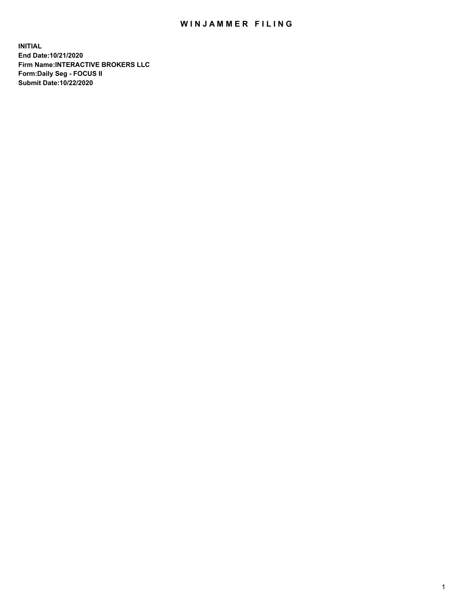## WIN JAMMER FILING

**INITIAL End Date:10/21/2020 Firm Name:INTERACTIVE BROKERS LLC Form:Daily Seg - FOCUS II Submit Date:10/22/2020**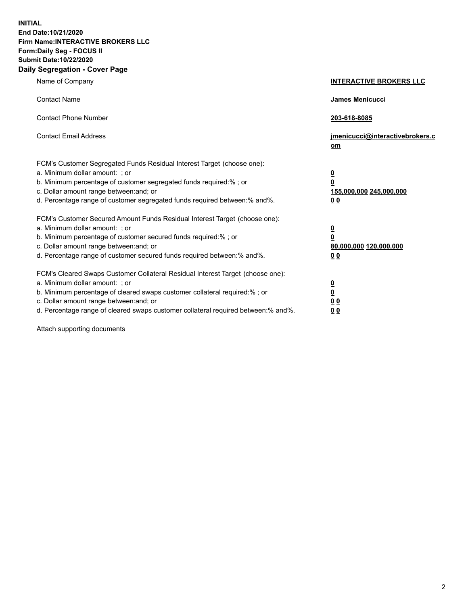**INITIAL End Date:10/21/2020 Firm Name:INTERACTIVE BROKERS LLC Form:Daily Seg - FOCUS II Submit Date:10/22/2020 Daily Segregation - Cover Page**

| Name of Company                                                                                                                                                                                                                                                                                                                | <b>INTERACTIVE BROKERS LLC</b>                                                  |
|--------------------------------------------------------------------------------------------------------------------------------------------------------------------------------------------------------------------------------------------------------------------------------------------------------------------------------|---------------------------------------------------------------------------------|
| <b>Contact Name</b>                                                                                                                                                                                                                                                                                                            | James Menicucci                                                                 |
| <b>Contact Phone Number</b>                                                                                                                                                                                                                                                                                                    | 203-618-8085                                                                    |
| <b>Contact Email Address</b>                                                                                                                                                                                                                                                                                                   | jmenicucci@interactivebrokers.c<br>om                                           |
| FCM's Customer Segregated Funds Residual Interest Target (choose one):<br>a. Minimum dollar amount: ; or<br>b. Minimum percentage of customer segregated funds required:%; or<br>c. Dollar amount range between: and; or<br>d. Percentage range of customer segregated funds required between:% and%.                          | <u>0</u><br>$\overline{\mathbf{0}}$<br>155,000,000 245,000,000<br><u>00</u>     |
| FCM's Customer Secured Amount Funds Residual Interest Target (choose one):<br>a. Minimum dollar amount: ; or<br>b. Minimum percentage of customer secured funds required:% ; or<br>c. Dollar amount range between: and; or<br>d. Percentage range of customer secured funds required between:% and%.                           | <u>0</u><br>$\overline{\mathbf{0}}$<br>80,000,000 120,000,000<br>0 <sub>0</sub> |
| FCM's Cleared Swaps Customer Collateral Residual Interest Target (choose one):<br>a. Minimum dollar amount: ; or<br>b. Minimum percentage of cleared swaps customer collateral required:% ; or<br>c. Dollar amount range between: and; or<br>d. Percentage range of cleared swaps customer collateral required between:% and%. | <u>0</u><br>$\underline{\mathbf{0}}$<br>0 <sub>0</sub><br>0 <sub>0</sub>        |

Attach supporting documents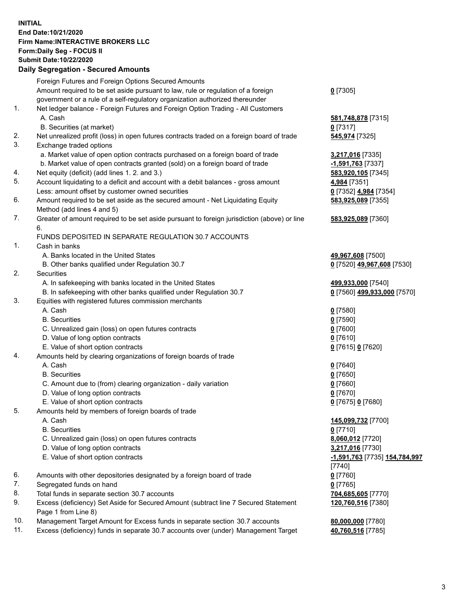## **INITIAL End Date:10/21/2020 Firm Name:INTERACTIVE BROKERS LLC Form:Daily Seg - FOCUS II Submit Date:10/22/2020 Daily Segregation - Secured Amounts**

|     | Daily Segregation - Secured Amounts                                                         |                               |
|-----|---------------------------------------------------------------------------------------------|-------------------------------|
|     | Foreign Futures and Foreign Options Secured Amounts                                         |                               |
|     | Amount required to be set aside pursuant to law, rule or regulation of a foreign            | $0$ [7305]                    |
|     | government or a rule of a self-regulatory organization authorized thereunder                |                               |
| 1.  | Net ledger balance - Foreign Futures and Foreign Option Trading - All Customers             |                               |
|     | A. Cash                                                                                     | 581,748,878 [7315]            |
|     | B. Securities (at market)                                                                   | $0$ [7317]                    |
| 2.  | Net unrealized profit (loss) in open futures contracts traded on a foreign board of trade   | 545,974 [7325]                |
| 3.  | Exchange traded options                                                                     |                               |
|     | a. Market value of open option contracts purchased on a foreign board of trade              | 3,217,016 [7335]              |
|     | b. Market value of open contracts granted (sold) on a foreign board of trade                | -1,591,763 [7337]             |
| 4.  | Net equity (deficit) (add lines 1. 2. and 3.)                                               | 583,920,105 [7345]            |
| 5.  | Account liquidating to a deficit and account with a debit balances - gross amount           | 4,984 [7351]                  |
|     | Less: amount offset by customer owned securities                                            | 0 [7352] 4,984 [7354]         |
| 6.  | Amount required to be set aside as the secured amount - Net Liquidating Equity              | 583,925,089 [7355]            |
|     | Method (add lines 4 and 5)                                                                  |                               |
| 7.  | Greater of amount required to be set aside pursuant to foreign jurisdiction (above) or line | 583,925,089 [7360]            |
|     | 6.                                                                                          |                               |
|     | FUNDS DEPOSITED IN SEPARATE REGULATION 30.7 ACCOUNTS                                        |                               |
| 1.  | Cash in banks                                                                               |                               |
|     | A. Banks located in the United States                                                       | 49,967,608 [7500]             |
|     | B. Other banks qualified under Regulation 30.7                                              | 0 [7520] 49,967,608 [7530]    |
| 2.  | Securities                                                                                  |                               |
|     | A. In safekeeping with banks located in the United States                                   | 499,933,000 [7540]            |
|     | B. In safekeeping with other banks qualified under Regulation 30.7                          | 0 [7560] 499,933,000 [7570]   |
| 3.  | Equities with registered futures commission merchants                                       |                               |
|     | A. Cash                                                                                     | $0$ [7580]                    |
|     | <b>B.</b> Securities                                                                        | $0$ [7590]                    |
|     | C. Unrealized gain (loss) on open futures contracts                                         | $0$ [7600]                    |
|     | D. Value of long option contracts                                                           | $0$ [7610]                    |
|     | E. Value of short option contracts                                                          | 0 [7615] 0 [7620]             |
| 4.  | Amounts held by clearing organizations of foreign boards of trade                           |                               |
|     | A. Cash                                                                                     | $0$ [7640]                    |
|     | <b>B.</b> Securities                                                                        | $0$ [7650]                    |
|     | C. Amount due to (from) clearing organization - daily variation                             | $0$ [7660]                    |
|     | D. Value of long option contracts                                                           | $0$ [7670]                    |
|     | E. Value of short option contracts                                                          | 0 [7675] 0 [7680]             |
| 5.  | Amounts held by members of foreign boards of trade                                          |                               |
|     | A. Cash                                                                                     | 145,099,732 [7700]            |
|     | <b>B.</b> Securities                                                                        | $0$ [7710]                    |
|     | C. Unrealized gain (loss) on open futures contracts                                         | 8,060,012 [7720]              |
|     | D. Value of long option contracts                                                           | 3,217,016 [7730]              |
|     | E. Value of short option contracts                                                          | -1,591,763 [7735] 154,784,997 |
|     |                                                                                             | [7740]                        |
| 6.  | Amounts with other depositories designated by a foreign board of trade                      | $0$ [7760]                    |
| 7.  | Segregated funds on hand                                                                    | $0$ [7765]                    |
| 8.  | Total funds in separate section 30.7 accounts                                               | 704,685,605 [7770]            |
| 9.  | Excess (deficiency) Set Aside for Secured Amount (subtract line 7 Secured Statement         | 120,760,516 [7380]            |
|     | Page 1 from Line 8)                                                                         |                               |
| 10. | Management Target Amount for Excess funds in separate section 30.7 accounts                 | 80,000,000 [7780]             |
| 11. | Excess (deficiency) funds in separate 30.7 accounts over (under) Management Target          | 40,760,516 [7785]             |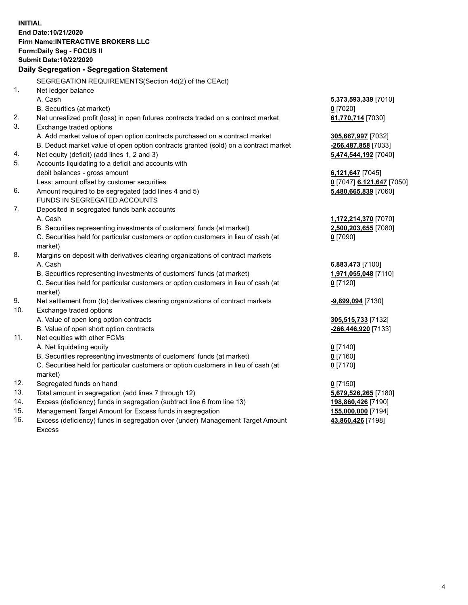**INITIAL End Date:10/21/2020 Firm Name:INTERACTIVE BROKERS LLC Form:Daily Seg - FOCUS II Submit Date:10/22/2020 Daily Segregation - Segregation Statement** SEGREGATION REQUIREMENTS(Section 4d(2) of the CEAct) 1. Net ledger balance A. Cash **5,373,593,339** [7010] B. Securities (at market) **0** [7020] 2. Net unrealized profit (loss) in open futures contracts traded on a contract market **61,770,714** [7030] 3. Exchange traded options A. Add market value of open option contracts purchased on a contract market **305,667,997** [7032] B. Deduct market value of open option contracts granted (sold) on a contract market **-266,487,858** [7033] 4. Net equity (deficit) (add lines 1, 2 and 3) **5,474,544,192** [7040] 5. Accounts liquidating to a deficit and accounts with debit balances - gross amount **6,121,647** [7045] Less: amount offset by customer securities **0** [7047] **6,121,647** [7050] 6. Amount required to be segregated (add lines 4 and 5) **5,480,665,839** [7060] FUNDS IN SEGREGATED ACCOUNTS 7. Deposited in segregated funds bank accounts A. Cash **1,172,214,370** [7070] B. Securities representing investments of customers' funds (at market) **2,500,203,655** [7080] C. Securities held for particular customers or option customers in lieu of cash (at market) **0** [7090] 8. Margins on deposit with derivatives clearing organizations of contract markets A. Cash **6,883,473** [7100] B. Securities representing investments of customers' funds (at market) **1,971,055,048** [7110] C. Securities held for particular customers or option customers in lieu of cash (at market) **0** [7120] 9. Net settlement from (to) derivatives clearing organizations of contract markets **-9,899,094** [7130] 10. Exchange traded options A. Value of open long option contracts **305,515,733** [7132] B. Value of open short option contracts **-266,446,920** [7133] 11. Net equities with other FCMs A. Net liquidating equity **0** [7140] B. Securities representing investments of customers' funds (at market) **0** [7160] C. Securities held for particular customers or option customers in lieu of cash (at market) **0** [7170] 12. Segregated funds on hand **0** [7150] 13. Total amount in segregation (add lines 7 through 12) **5,679,526,265** [7180] 14. Excess (deficiency) funds in segregation (subtract line 6 from line 13) **198,860,426** [7190] 15. Management Target Amount for Excess funds in segregation **155,000,000** [7194]

16. Excess (deficiency) funds in segregation over (under) Management Target Amount Excess

**43,860,426** [7198]